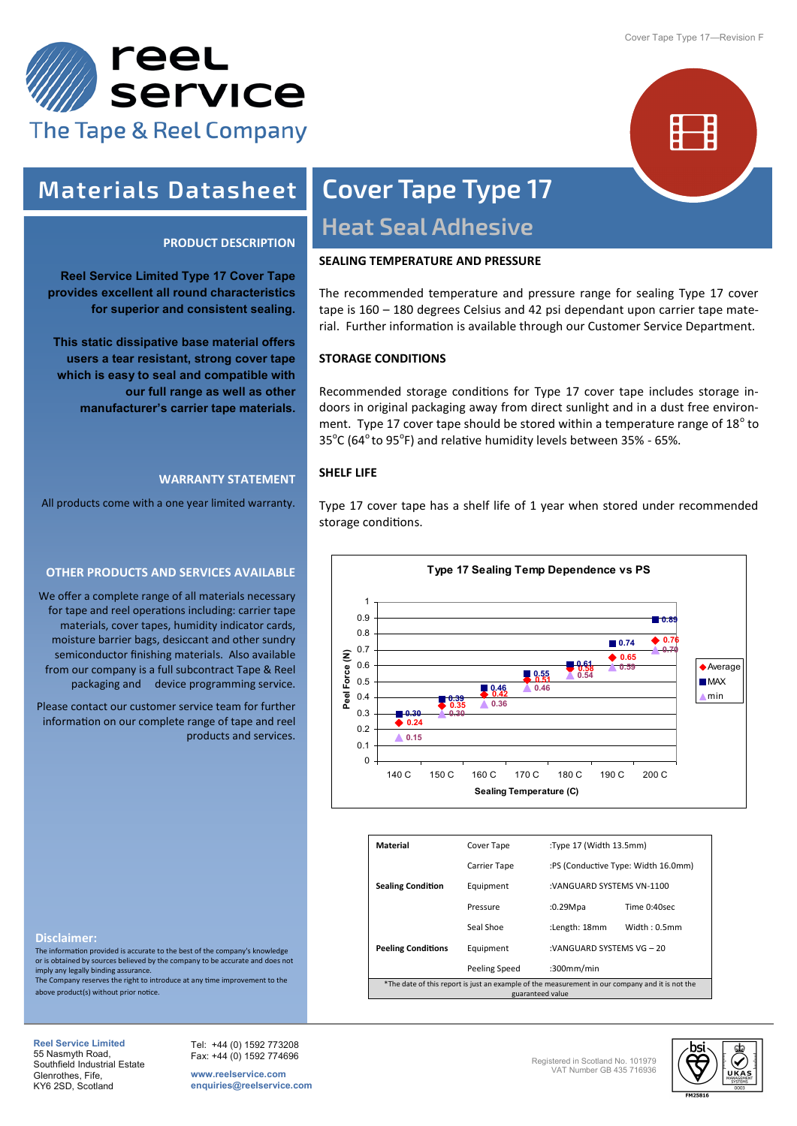



### **Materials Datasheet**

#### **PRODUCT DESCRIPTION**

**Reel Service Limited Type 17 Cover Tape provides excellent all round characteristics for superior and consistent sealing.** 

**This static dissipative base material offers users a tear resistant, strong cover tape which is easy to seal and compatible with our full range as well as other manufacturer's carrier tape materials.**

#### **WARRANTY STATEMENT**

All products come with a one year limited warranty.

#### **OTHER PRODUCTS AND SERVICES AVAILABLE**

We offer a complete range of all materials necessary for tape and reel operations including: carrier tape materials, cover tapes, humidity indicator cards, moisture barrier bags, desiccant and other sundry semiconductor finishing materials. Also available from our company is a full subcontract Tape & Reel packaging and device programming service.

Please contact our customer service team for further information on our complete range of tape and reel products and services.

## **Cover Tape Type 17 Heat Seal Adhesive**

#### **SEALING TEMPERATURE AND PRESSURE**

The recommended temperature and pressure range for sealing Type 17 cover tape is 160 – 180 degrees Celsius and 42 psi dependant upon carrier tape material. Further information is available through our Customer Service Department.

#### **STORAGE CONDITIONS**

Recommended storage conditions for Type 17 cover tape includes storage indoors in original packaging away from direct sunlight and in a dust free environment. Type 17 cover tape should be stored within a temperature range of 18 $^{\circ}$  to  $35^{\circ}$ C (64 $^{\circ}$  to 95 $^{\circ}$ F) and relative humidity levels between 35% - 65%.

#### **SHELF LIFE**

Type 17 cover tape has a shelf life of 1 year when stored under recommended storage conditions.



| Material                                                                                                            | Cover Tape    |               | :Type 17 (Width 13.5mm)             |  |  |
|---------------------------------------------------------------------------------------------------------------------|---------------|---------------|-------------------------------------|--|--|
|                                                                                                                     | Carrier Tape  |               | :PS (Conductive Type: Width 16.0mm) |  |  |
| <b>Sealing Condition</b>                                                                                            | Equipment     |               | :VANGUARD SYSTEMS VN-1100           |  |  |
|                                                                                                                     | Pressure      | :0.29Mpa      | Time 0:40sec                        |  |  |
| <b>Peeling Conditions</b>                                                                                           | Seal Shoe     | :Length: 18mm | Width: 0.5mm                        |  |  |
|                                                                                                                     | Equipment     |               | :VANGUARD SYSTEMS VG - 20           |  |  |
|                                                                                                                     | Peeling Speed | $:300$ mm/min |                                     |  |  |
| *The date of this report is just an example of the measurement in our company and it is not the<br>guaranteed value |               |               |                                     |  |  |

**Disclaimer:**

The information provided is accurate to the best of the company's knowledge or is obtained by sources believed by the company to be accurate and does not imply any legally binding assurance. The Company reserves the right to introduce at any time improvement to the

above product(s) without prior notice.

**Reel Service Limited**  55 Nasmyth Road, Southfield Industrial Estate Glenrothes, Fife, KY6 2SD, Scotland

Tel: +44 (0) 1592 773208 Fax: +44 (0) 1592 774696

**www.reelservice.com enquiries@reelservice.com** Registered in Scotland No. 101979 VAT Number GB 435 716936